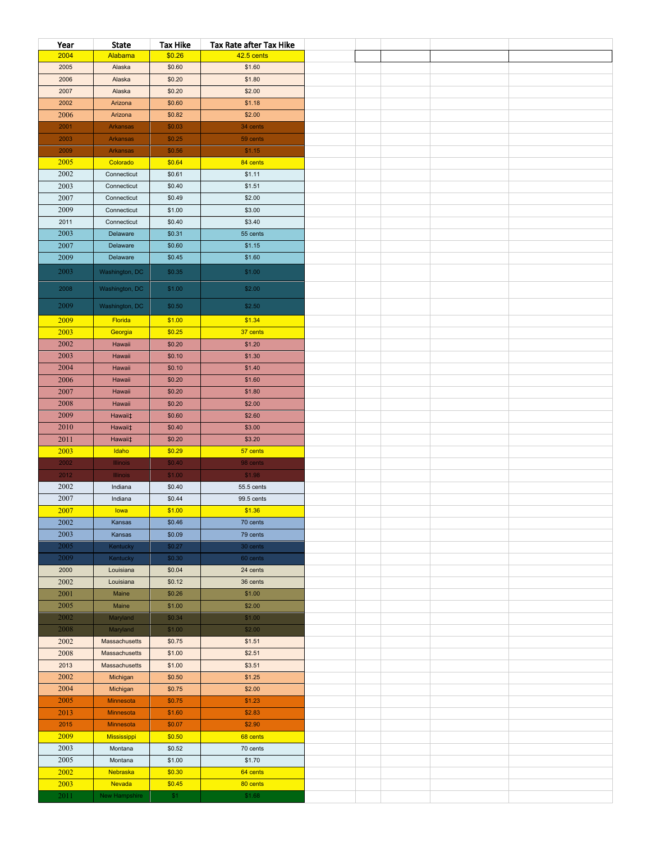| Year | <b>State</b>    | <b>Tax Hike</b> | Tax Rate after Tax Hike |  |  |  |
|------|-----------------|-----------------|-------------------------|--|--|--|
| 2004 | Alabama         | \$0.26          | 42.5 cents              |  |  |  |
| 2005 | Alaska          | \$0.60          | \$1.60                  |  |  |  |
| 2006 | Alaska          | \$0.20          | \$1.80                  |  |  |  |
| 2007 | Alaska          | \$0.20          | \$2.00                  |  |  |  |
| 2002 | Arizona         | \$0.60          | \$1.18                  |  |  |  |
| 2006 | Arizona         | \$0.82          | \$2.00                  |  |  |  |
| 2001 | Arkansas        | \$0.03          | 34 cents                |  |  |  |
| 2003 | Arkansas        | \$0.25          | 59 cents                |  |  |  |
| 2009 | <b>Arkansas</b> | \$0.56          | \$1.15                  |  |  |  |
| 2005 | Colorado        | \$0.64          | 84 cents                |  |  |  |
| 2002 | Connecticut     | \$0.61          | \$1.11                  |  |  |  |
| 2003 | Connecticut     | \$0.40          | \$1.51                  |  |  |  |
| 2007 | Connecticut     | \$0.49          | \$2.00                  |  |  |  |
| 2009 | Connecticut     | \$1.00          | \$3.00                  |  |  |  |
| 2011 | Connecticut     | \$0.40          | \$3.40                  |  |  |  |
| 2003 | Delaware        | \$0.31          | 55 cents                |  |  |  |
| 2007 | Delaware        | \$0.60          | \$1.15                  |  |  |  |
| 2009 | Delaware        | \$0.45          | \$1.60                  |  |  |  |
| 2003 | Washington, DC  | \$0.35          | \$1.00                  |  |  |  |
|      |                 |                 |                         |  |  |  |
| 2008 | Washington, DC  | \$1.00          | \$2.00                  |  |  |  |
| 2009 | Washington, DC  | \$0.50          | \$2.50                  |  |  |  |
| 2009 | Florida         | \$1.00          | \$1.34                  |  |  |  |
| 2003 | Georgia         | \$0.25          | 37 cents                |  |  |  |
| 2002 | Hawaii          | \$0.20          | \$1.20                  |  |  |  |
| 2003 | Hawaii          | \$0.10          | \$1.30                  |  |  |  |
| 2004 | Hawaii          | \$0.10          | \$1.40                  |  |  |  |
| 2006 | Hawaii          | \$0.20          | \$1.60                  |  |  |  |
| 2007 | Hawaii          | \$0.20          | \$1.80                  |  |  |  |
| 2008 | Hawaii          | \$0.20          | \$2.00                  |  |  |  |
| 2009 | Hawaii‡         | \$0.60          | \$2.60                  |  |  |  |
| 2010 | Hawaii‡         | \$0.40          | \$3.00                  |  |  |  |
| 2011 | Hawaii‡         | \$0.20          | \$3.20                  |  |  |  |
| 2003 | Idaho           | \$0.29          | 57 cents                |  |  |  |
| 2002 | Illinois        | \$0.40          | 98 cents                |  |  |  |
| 2012 | <b>Illinois</b> | \$1.00          | \$1.98                  |  |  |  |
| 2002 | Indiana         | \$0.40          | 55.5 cents              |  |  |  |
| 2007 | Indiana         | \$0.44          | 99.5 cents              |  |  |  |
| 2007 | lowa            | \$1.00          | \$1.36                  |  |  |  |
| 2002 | Kansas          | \$0.46          | 70 cents                |  |  |  |
| 2003 | Kansas          | \$0.09          | 79 cents                |  |  |  |
| 2005 | <b>Kentucky</b> | \$0.27          | 30 cents                |  |  |  |
| 2009 | Kentucky        | \$0.30          | 60 cents                |  |  |  |
| 2000 | Louisiana       | \$0.04          | 24 cents                |  |  |  |
| 2002 | Louisiana       | \$0.12          | 36 cents                |  |  |  |
| 2001 | Maine           | \$0.26          | \$1.00                  |  |  |  |
| 2005 | Maine           | \$1.00          | \$2.00                  |  |  |  |
| 2002 | Maryland        | \$0.34          | \$1.00                  |  |  |  |
| 2008 | Maryland        | \$1.00          | \$2.00                  |  |  |  |
| 2002 | Massachusetts   | \$0.75          | \$1.51                  |  |  |  |
| 2008 | Massachusetts   | \$1.00          | \$2.51                  |  |  |  |
| 2013 | Massachusetts   | \$1.00          | \$3.51                  |  |  |  |
| 2002 | Michigan        | \$0.50          | \$1.25                  |  |  |  |
| 2004 | Michigan        | \$0.75          | \$2.00                  |  |  |  |
| 2005 | Minnesota       | \$0.75          | \$1.23                  |  |  |  |
| 2013 | Minnesota       | \$1.60          | \$2.83                  |  |  |  |
| 2015 | Minnesota       | \$0.07          | \$2.90                  |  |  |  |
| 2009 | Mississippi     | \$0.50          | 68 cents                |  |  |  |
| 2003 | Montana         | \$0.52          | 70 cents                |  |  |  |
| 2005 | Montana         | \$1.00          | \$1.70                  |  |  |  |
| 2002 | Nebraska        | \$0.30          | 64 cents                |  |  |  |
| 2003 | Nevada          | \$0.45          | 80 cents                |  |  |  |
| 2011 | New Hampshire   | \$1             | \$1.68                  |  |  |  |